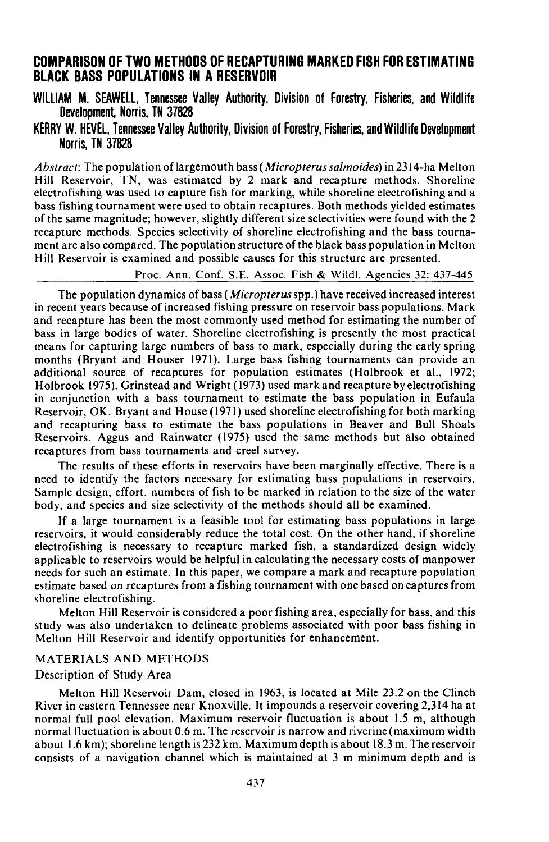# **COMPARISON OF TWO METHODS OF RECAPTURING MARKED FISH FOR ESTIMATING BLACK BASS POPULATIONS IN ARESERVOIR**

**WILLIAM** M. SEAWELL, Tennessee Valley Authority, Division of Forestry, Fisheries, and Wildlife Development, Norris, TN 37828

KERRY W. HEVEl, Tennessee Valley Authority, Division of Forestry, Fisheries, and Wildlife Development Norris, **TN** 37828

*Abstract:* The population oflargemouth bass *(Micropterus salmoides)* in 2314-ha Melton Hill Reservoir, TN, was estimated by 2 mark and recapture methods. Shoreline electrofishing was used to capture fish for marking, while shoreline electrofishing and a bass fishing tournament were used to obtain recaptures. Both methods yielded estimates of the same magnitude; however, slightly different size selectivities were found with the 2 recapture methods. Species selectivity of shoreline electrofishing and the bass tournament are also compared. The population structure ofthe black bass population in Melton Hill Reservoir is examined and possible causes for this structure are presented.

Proc. Ann. Conf. S.E. Assoc. Fish & Wildl. Agencies 32: 437-445

The population dynamics of bass *(Micropterus* spp.) have received increased interest in recent years because of increased fishing pressure on reservoir bass populations. Mark and recapture has been the most commonly used method for estimating the number of bass in large bodies of water. Shoreline electrofishing is presently the most practical means for capturing large numbers of bass to mark, especially during the early spring months (Bryant and Houser 1971). Large bass fishing tournaments can provide an additional source of recaptures for population estimates (Holbrook et al., 1972; Holbrook 1975). Grinstead and Wright (1973) used mark and recapture by electrofishing in conjunction with a bass tournament to estimate the bass population in Eufaula Reservoir, OK. Bryant and House (1971) used shoreline electrofishing for both marking and recapturing bass to estimate the bass populations in Beaver and Bull Shoals Reservoirs. Aggus and Rainwater (1975) used the same methods but also obtained recaptures from bass tournaments and creel survey.

The results of these efforts in reservoirs have been marginally effective. There is a need to identify the factors necessary for estimating bass populations in reservoirs. Sample design, effort, numbers of fish to be marked in relation to the size of the water body, and species and size selectivity of the methods should all be examined.

If a large tournament is a feasible tool for estimating bass populations in large reservoirs, it would considerably reduce the total cost. On the other hand, if shoreline electrofishing is necessary to recapture marked fish, a standardized design widely applicable to reservoirs would be helpful in calculating the necessary costs of manpower needs for such an estimate. In this paper, we compare a mark and recapture population estimate based on recaptures from a fishing tournament with one based on capturesfrom shoreline electrofishing.

Melton Hill Reservoir is considered a poor fishing area, especially for bass, and this study was also undertaken to delineate problems associated with poor bass fishing in Melton Hill Reservoir and identify opportunities for enhancement.

### MATERIALS AND METHODS

# Description of Study Area

Melton Hill Reservoir Dam, closed in 1963, is located at Mile 23.2 on the Clinch River in eastern Tennessee near Knoxville. It impounds a reservoir covering 2,314 ha at normal full pool elevation. Maximum reservoir fluctuation is about 1.5 m, although normal fluctuation is about 0.6 m. The reservoir is narrow and riverine (maximum width about 1.6 km); shoreline length is 232 km. Maximum depth is about 18.3 m. The reservoir consists of a navigation channel which is maintained at 3 m minimum depth and is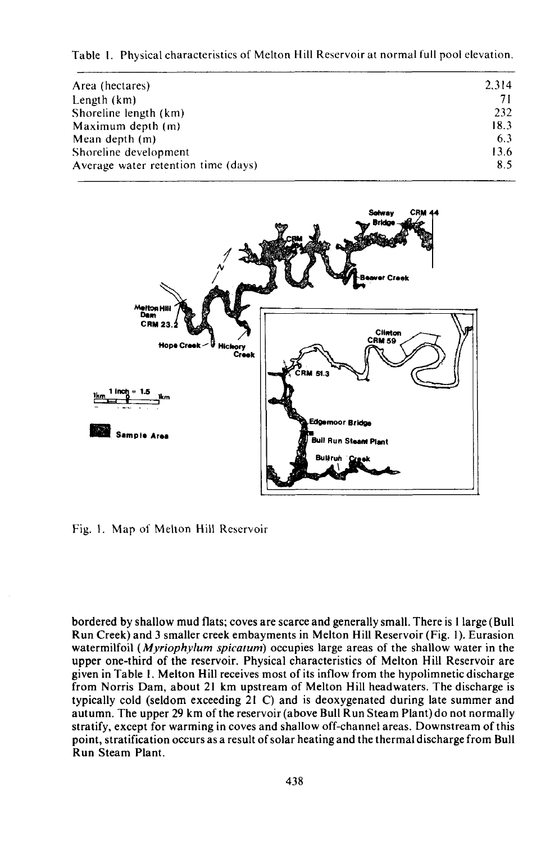Table I. Physical characteristics of Melton Hill Reservoir at normal full pool elevation.

| Area (hectares)                     | 2.314 |
|-------------------------------------|-------|
| Length (km)                         | 7     |
| Shoreline length (km)               | 232   |
| Maximum depth (m)                   | 18.3  |
| Mean depth $(m)$                    | 6.3   |
| Shoreline development               | 13.6  |
| Average water retention time (days) | 8.5   |
|                                     |       |



Fig. I. Map of Melton Hill Reservoir

bordered by shallow mud flats; coves are scarce and generally small. There is I large (Bull Run Creek) and 3 smaller creek embayments in Melton Hill Reservoir (Fig. I). Eurasion watermilfoil *(MyriophyJum spicatum)* occupies large areas of the shallow water in the upper one-third of the reservoir. Physical characteristics of Melton Hill Reservoir are given in Table I. Melton Hill receives most of its inflow from the hypolimnetic discharge from Norris Dam, about 21 km upstream of Melton Hill headwaters. The discharge is typically cold (seldom exceeding 21 C) and is deoxygenated during late summer and autumn. The upper 29 km of the reservoir (above Bull Run Steam Plant) do not normally stratify, except for warming in coves and shallow off-channel areas. Downstream ofthis point, stratification occurs as a result ofsolar heating and the thermal discharge from Bull Run Steam Plant.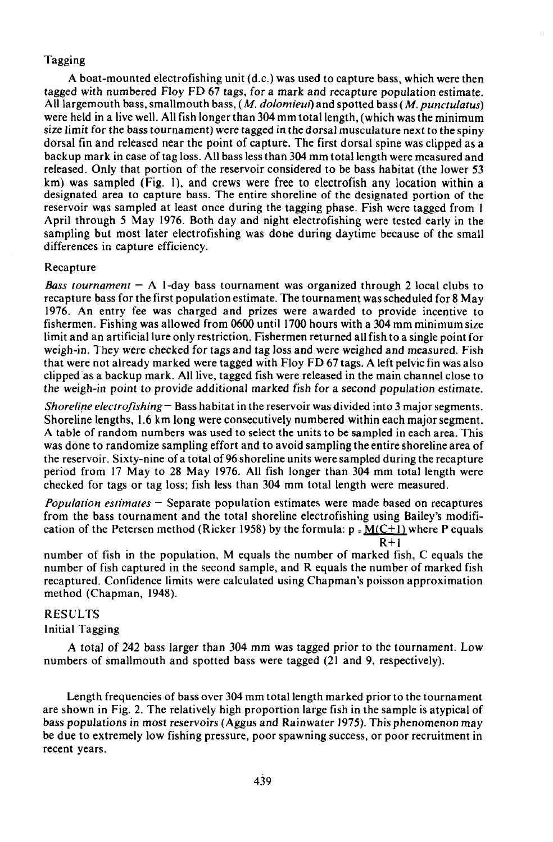# Tagging

A boat-mounted electrofishing unit (d.c.) was used to capture bass, which were then tagged with numbered Floy FD 67 tags, for a mark and recapture population estimate. All largemouth bass, smallmouth bass, *(M. dolomieui)* and spotted bass (M. *punctulatus*) were held in a live well. All fish longer than 304 mm total length, (which was the minimum size limit for the bass tournament) were tagged in the dorsal musculature next to the spiny dorsal fin and released near the point of capture. The first dorsal spine was clipped as a backup mark in case of tag loss. All bass less than 304 mm total length were measured and released. Only that portion of the reservoir considered to be bass habitat (the lower 53 km) was sampled (Fig. I), and crews were free to electrofish any location within <sup>a</sup> designated area to capture bass. The entire shoreline of the designated portion of the reservoir was sampled at least once during the tagging phase. Fish were tagged from I April through 5 May 1976. Both day and night electrofishing were tested early in the sampling but most later electrofishing was done during daytime because of the small differences in capture efficiency.

# Recapture

*Bass tournament*  $-$  A 1-day bass tournament was organized through 2 local clubs to recapture bass for the first population estimate. The tournament was scheduled for 8 May 1976. An entry fee was charged and prizes were awarded to provide incentive to fishermen. Fishing was allowed from 0600 until 1700 hours with a 304 mm minimum size limit and an artificial lure only restriction. Fishermen returned all fish to a single point for weigh-in. They were checked for tags and tag loss and were weighed and measured. Fish that were not already marked were tagged with Floy FD 67 tags. A left pelvic fin was also clipped "as a backup mark. All live, tagged fish were released in the main channel close to the weigh-in point to provide additional marked fish for a second population estimate.

*Shoreline electrofishing* – Bass habitat in the reservoir was divided into 3 major segments. Shoreline lengths, \.6 km long were consecutively numbered within each majorsegment. A table of random numbers was used to select the units to be sampled in each area. This was done to randomize sampling effort and to avoid sampling the entire shoreline area of the reservoir. Sixty-nine of a total of 96 shoreline units were sampled during the recapture period from 17 May to 28 May 1976. All fish longer than 304 mm total length were checked for tags or tag loss; fish less than 304 mm total length were measured.

*Population estimates* - Separate population estimates were made based on recaptures from the bass tournament and the total shoreline electrofishing using Bailey's modification of the Petersen method (Ricker 1958) by the formula:  $p = M(C+1)$  where P equals  $R+1$ 

number of fish in the population, M equals the number of marked fish, C equals the number of fish captured in the second sample, and R equals the number of marked fish recaptured. Confidence limits were calculated using Chapman's poisson approximation method (Chapman, 1948).

# RESULTS

Initial Tagging

A total of 242 bass larger than 304 mm was tagged prior to the tournament. Low numbers of smallmouth and spotted bass were tagged (21 and 9, respectively).

Length frequencies of bass over 304 mm total length marked prior to the tournament are shown in Fig. 2. The relatively high proportion large fish in the sample is atypical of bass populations in most reservoirs (Aggus and Rainwater 1975). This phenomenon may be due to extremely low fishing pressure, poor spawning success, or poor recruitment in recent years.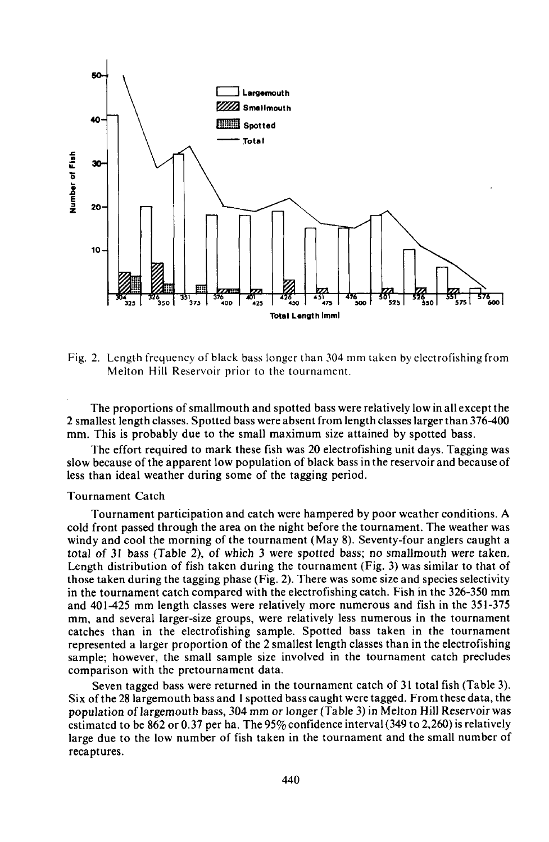

Fig. 2. Length frequency of black bass longer than  $304$  mm taken by electrofishing from Melton Hill Reservoir prior to the tournament.

The proportions of smallmouth and spotted bass were relatively low in all except the 2 smallest length classes. Spotted bass were absent from length classes larger than 376-400 mm. This is probably due to the small maximum size attained by spotted bass.

The effort required to mark these fish was 20 electrofishing unit days. Tagging was slow because of the apparent low population of black bass in the reservoir and because of less than ideal weather during some of the tagging period.

#### Tournament Catch

Tournament participation and catch were hampered by poor weather conditions. A cold front passed through the area on the night before the tournament. The weather was windy and cool the morning of the tournament (May 8). Seventy-four anglers caught a total of 31 bass (Table 2), of which 3 were spotted bass; no smallmouth were taken. Length distribution of fish taken during the tournament (Fig. 3) was similar to that of those taken during the tagging phase (Fig. 2). There was some size and species selectivity in the tournament catch compared with the electrofishing catch. Fish in the 326-350 mm and 401-425 mm length classes were relatively more numerous and fish in the 351-375 mm, and several larger-size groups, were relatively less numerous in the tournament catches than in the electrofishing sample. Spotted bass taken in the tournament represented a larger proportion of the 2 smallest length classes than in the electrofishing sample; however, the small sample size involved in the tournament catch precludes comparison with the pretournament data.

Seven tagged bass were returned in the tournament catch of 31 total fish (Table 3). Six ofthe 28 largemouth bass and I spotted bass caught were tagged. From these data, the population of largemouth bass, 304 mm or longer (Table 3) in Melton Hill Reservoir was estimated to be 862 or 0.37 per ha. The 95% confidence interval (349 to 2,260) is relatively large due to the low number of fish taken in the tournament and the small number of recaptures.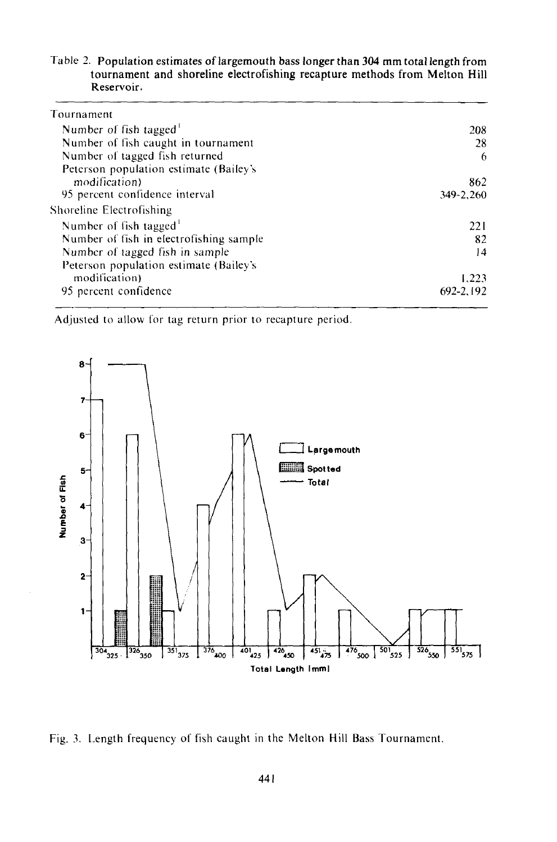Table 2. Population estimates of largemouth bass longer than 304 mm total length from tournament and shoreline electrofishing recapture methods from Melton Hill Reservoir.

| Tournament                              |           |
|-----------------------------------------|-----------|
| Number of fish tagged                   | 208       |
| Number of fish caught in tournament     | 28        |
| Number of tagged fish returned          | 6         |
| Peterson population estimate (Bailey's  |           |
| modification)                           | 862       |
| 95 percent confidence interval          | 349-2.260 |
| Shoreline Electrofishing                |           |
| Number of fish tagged <sup>1</sup>      | 221       |
| Number of fish in electrofishing sample | 82        |
| Number of tagged fish in sample         | 14        |
| Peterson population estimate (Bailey's  |           |
| modification)                           | 1.223     |
| 95 percent confidence                   | 692-2,192 |
|                                         |           |

Adjusted to allow for tag return prior to recapture period.



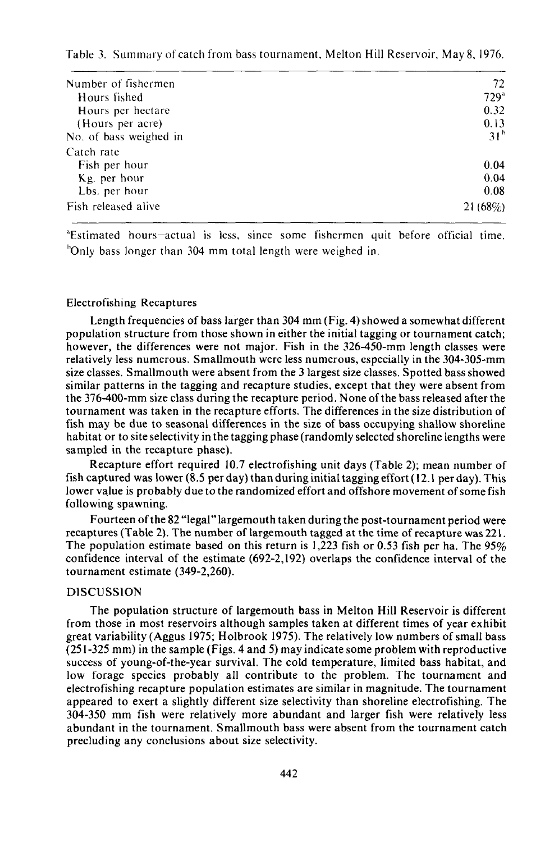Table 3. Summary of catch from bass tournament, Melton Hill Reservoir, May 8, 1976.

| Number of fishermen    | 72               |
|------------------------|------------------|
| Hours fished           | 729 <sup>a</sup> |
| Hours per hectare      | 0.32             |
| (Hours per acre)       | 0.13             |
| No. of bass weighed in | 31 <sup>b</sup>  |
| Catch rate             |                  |
| Fish per hour          | 0.04             |
| Kg. per hour           | 0.04             |
| Lbs. per hour          | 0.08             |
| Fish released alive    | $21(68\%)$       |

"Estimated hours-actual IS less, since some fishermen quit before official time. "Only bass longer than 304 mm total length were weighed in.

#### Electrofishing Recaptures

Length frequencies of bass larger than 304 mm (Fig. 4) showed a somewhat different population structure from those shown in either the initial tagging or tournament catch; however, the differences were not major. Fish in the 326-450-mm length classes were relatively less numerous. Smallmouth were less numerous, especially in the 304-305-mm size classes. Smallmouth were absent from the 3 largest size classes. Spotted bass showed similar patterns in the tagging and recapture studies, except that they were absent from the 376-400-mm size class during the recapture period. None ofthe bass released after the tournament was taken in the recapture efforts. The differences in the size distribution of fish may be due to seasonal differences in the size of bass occupying shallow shoreline habitat or to site selectivity in the tagging phase (randomly selected shoreline lengths were sampled in the recapture phase).

Recapture effort required 10.7 electrofishing unit days (Table 2); mean number of fish captured was lower (8.5 per day) than during initial tagging effort(12.1 per day). This lower value is probably due to the randomized effort and offshore movement of some fish following spawning.

Fourteen ofthe 82 "legal" largemouth taken during the post-tournament period were recaptures (Table 2). The number of largemouth tagged at the time of recapture was 221. The population estimate based on this return is 1,223 fish or 0.53 fish per ha. The 95% confidence interval of the estimate (692-2,192) overlaps the confidence interval of the tournament estimate (349-2,260).

### DISCUSSION

The population structure of largemouth bass in Melton **Hill** Reservoir is different from those in most reservoirs although samples taken at different times of year exhibit great variability (Aggus 1975; Holbrook 1975). The relatively low numbers ofsmall bass (251-325 mm) in the sample (Figs. 4 and 5) may indicate some problem with reproductive success of young-of-the-year survival. The cold temperature, limited bass habitat, and low forage species probably all contribute to the problem. The tournament and electrofishing recapture population estimates are similar in magnitude. The tournament appeared to exert a slightly different size selectivity than shoreline electrofishing. The 304-350 mm fish were relatively more abundant and larger fish were relatively less abundant in the tournament. Smallmouth bass were absent from the tournament catch precluding any conclusions about size selectivity.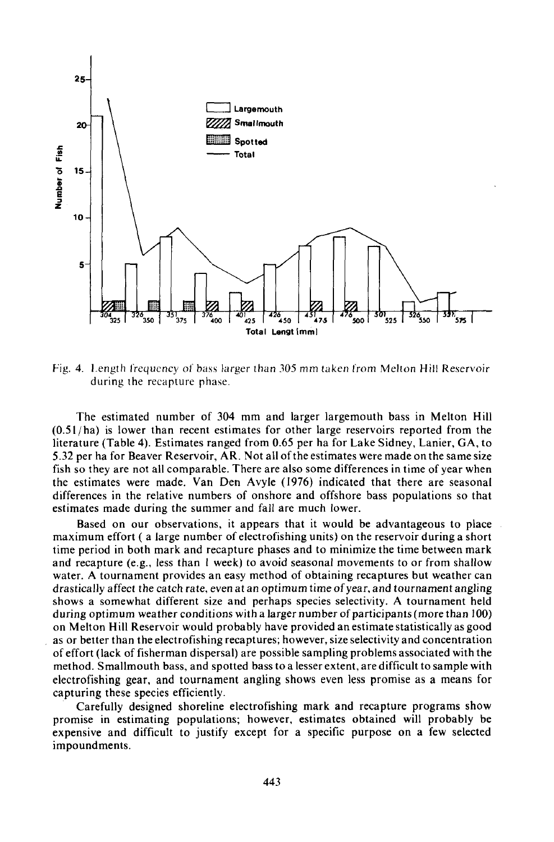

Fig. 4. Length frequency of bass larger than *305* mm taken from Melton Hill Reservoir during the recapture phase.

The estimated number of 304 mm and larger largemouth bass in Melton Hill  $(0.51/ha)$  is lower than recent estimates for other large reservoirs reported from the literature (Table 4). Estimates ranged from 0.65 per ha for Lake Sidney, Lanier, GA, to 5.32 per ha for Beaver Reservoir, AR. Not all ofthe estimates were made on the same size fish so they are not all comparable. There are also some differences in time of year when the estimates were made. Van Den Avyle (1976) indicated that there are seasonal differences in the relative numbers of onshore and offshore bass populations so that estimates made during the summer and fall are much lower.

Based on our observations, it appears that it would be advantageous to place maximum effort ( a large number of electrofishing units) on the reservoir during a short time period in both mark and recapture phases and to minimize the time between mark and recapture (e.g., less than I week) to avoid seasonal movements to or from shallow water. A tournament provides an easy method of obtaining recaptures but weather can drastically affect the catch rate, even at an optimum time ofyear, and tournament angling shows a somewhat different size and perhaps species selectivity. A tournament held during optimum weather conditions with a larger number of participants(more than 100) on Melton Hill Reservoir would probably have provided an estimate statistically as good as or better than the electrofishing recaptures; however, size selectivity and concentration of effort (lack of fisherman dispersal) are possible sampling problems associated with the method. Smallmouth bass, and spotted bass to a lesser extent, are difficult to sample with electrofishing gear, and tournament angling shows even less promise as a means for capturing these species efficiently.

Carefully designed shoreline electrofishing mark and recapture programs show promise in estimating populations; however, estimates obtained will probably be expensive and difficult to justify except for a specific purpose on a few selected impoundments.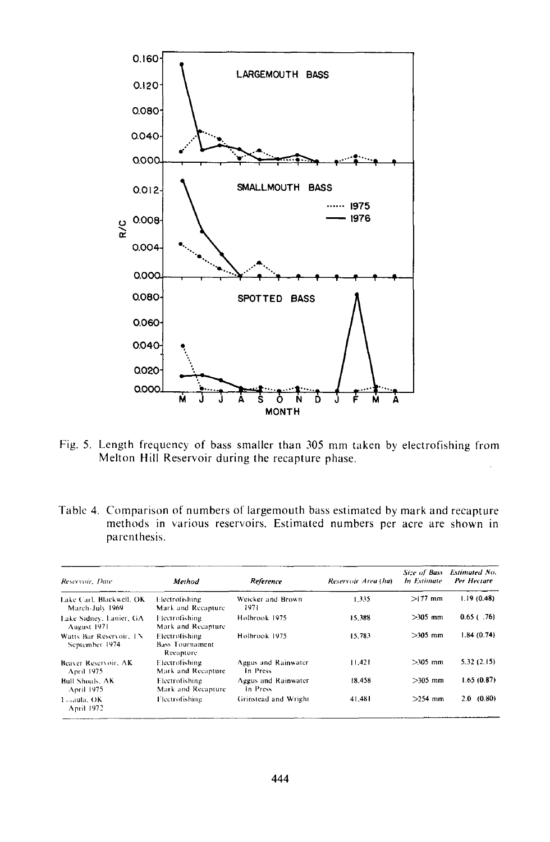

Fig. 5. Length frequency of bass smaller than 305 mm taken by electrofishing from Melton Hill Reservoir during the recapture phase.

Table 4. Comparison of numbers of largemouth bass estimated by mark and recapture methods in various reservoirs. Estimated numbers per acre are shown in parenthesis.

| Reservoir, Date                             | Method                                                | Reference                       | Reservoir Area (ha) | Size of Bass<br>In Estimate | <b>Extimated No.</b><br>Per Hectare |
|---------------------------------------------|-------------------------------------------------------|---------------------------------|---------------------|-----------------------------|-------------------------------------|
| Lake Carl, Blackwell, OK<br>March-July 1969 | Electrofishing<br>Mark and Recapture                  | Weicker and Brown<br>1971       | 1.335               | $>177$ mm                   | 1.19(0.48)                          |
| Lake Sidney, Lanier, GA<br>August 1971      | Flectrofishing.<br>Mark and Recapture                 | Holbrook 1975                   | 15.388              | $>305$ mm                   | $0.65$ (.76)                        |
| Watts Bar Reservoir, TN<br>September 1974   | Electrofishing<br><b>Bass Tournament</b><br>Recapture | Holbrook 1975                   | 15.783              | $>305$ mm                   | 1.84(0.74)                          |
| Beaver Reservoir, AK<br>April 1975          | Electrofishing<br>Mark and Recapture                  | Aggus and Rainwater<br>In Press | 11.421              | $>105$ mm                   | 5.32(2.15)                          |
| <b>Bull Shoals</b> , AK<br>April 1975       | <b>Electrofishing</b><br>Mark and Recapture           | Aggus and Rainwater<br>In Press | 18.458              | $>305$ mm                   | 1.65(0.87)                          |
| 1 aula, OK<br>April 1972                    | Flectrofishing                                        | Grinstead and Wright            | 41.481              | $>254$ mm                   | 2.0(0.80)                           |